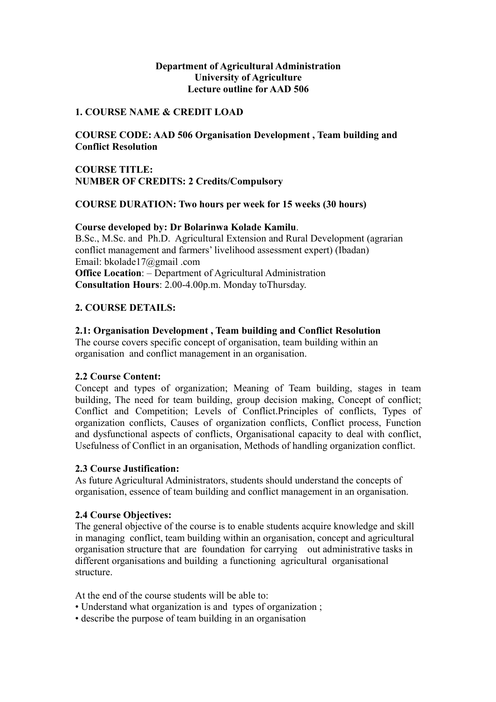#### **Department of Agricultural Administration University of Agriculture Lecture outline for AAD 506**

#### **1. COURSE NAME & CREDIT LOAD**

**COURSE CODE: AAD 506 Organisation Development , Team building and Conflict Resolution** 

# **COURSE TITLE: NUMBER OF CREDITS: 2 Credits/Compulsory**

#### **COURSE DURATION: Two hours per week for 15 weeks (30 hours)**

# **Course developed by: Dr Bolarinwa Kolade Kamilu**.

B.Sc., M.Sc. and Ph.D. Agricultural Extension and Rural Development (agrarian conflict management and farmers' livelihood assessment expert) (Ibadan) Email: bkolade17@gmail .com **Office Location:** – Department of Agricultural Administration **Consultation Hours**: 2.00-4.00p.m. Monday toThursday.

# **2. COURSE DETAILS:**

#### **2.1: Organisation Development , Team building and Conflict Resolution**

The course covers specific concept of organisation, team building within an organisation and conflict management in an organisation.

#### **2.2 Course Content:**

Concept and types of organization; Meaning of Team building, stages in team building, The need for team building, group decision making, Concept of conflict; Conflict and Competition; Levels of Conflict.Principles of conflicts, Types of organization conflicts, Causes of organization conflicts, Conflict process, Function and dysfunctional aspects of conflicts, Organisational capacity to deal with conflict, Usefulness of Conflict in an organisation, Methods of handling organization conflict.

#### **2.3 Course Justification:**

As future Agricultural Administrators, students should understand the concepts of organisation, essence of team building and conflict management in an organisation.

#### **2.4 Course Objectives:**

The general objective of the course is to enable students acquire knowledge and skill in managing conflict, team building within an organisation, concept and agricultural organisation structure that are foundation for carrying out administrative tasks in different organisations and building a functioning agricultural organisational structure.

At the end of the course students will be able to:

- Understand what organization is and types of organization ;
- describe the purpose of team building in an organisation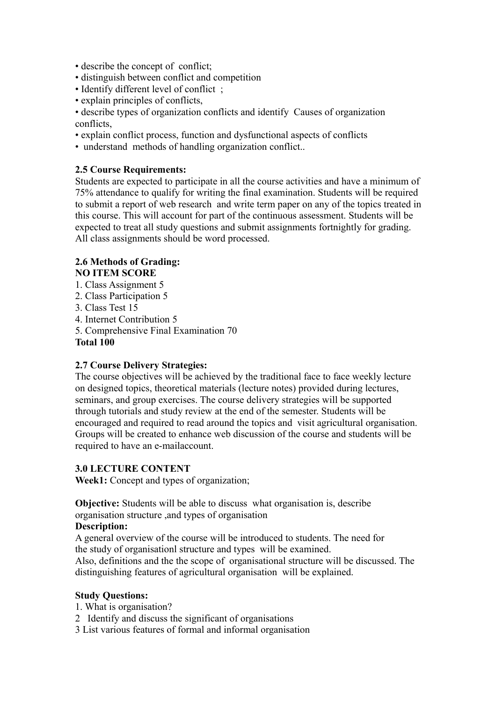- describe the concept of conflict;
- distinguish between conflict and competition
- Identify different level of conflict:
- explain principles of conflicts,

• describe types of organization conflicts and identify Causes of organization conflicts,

- explain conflict process, function and dysfunctional aspects of conflicts
- understand methods of handling organization conflict..

## **2.5 Course Requirements:**

Students are expected to participate in all the course activities and have a minimum of 75% attendance to qualify for writing the final examination. Students will be required to submit a report of web research and write term paper on any of the topics treated in this course. This will account for part of the continuous assessment. Students will be expected to treat all study questions and submit assignments fortnightly for grading. All class assignments should be word processed.

# **2.6 Methods of Grading: NO ITEM SCORE**

- 1. Class Assignment 5
- 2. Class Participation 5
- 3. Class Test 15
- 4. Internet Contribution 5
- 5. Comprehensive Final Examination 70

#### **Total 100**

#### **2.7 Course Delivery Strategies:**

The course objectives will be achieved by the traditional face to face weekly lecture on designed topics, theoretical materials (lecture notes) provided during lectures, seminars, and group exercises. The course delivery strategies will be supported through tutorials and study review at the end of the semester. Students will be encouraged and required to read around the topics and visit agricultural organisation. Groups will be created to enhance web discussion of the course and students will be required to have an e-mailaccount.

#### **3.0 LECTURE CONTENT**

**Week1:** Concept and types of organization;

**Objective:** Students will be able to discuss what organisation is, describe organisation structure ,and types of organisation

# **Description:**

A general overview of the course will be introduced to students. The need for the study of organisationl structure and types will be examined. Also, definitions and the the scope of organisational structure will be discussed. The

distinguishing features of agricultural organisation will be explained.

#### **Study Questions:**

1. What is organisation?

- 2 Identify and discuss the significant of organisations
- 3 List various features of formal and informal organisation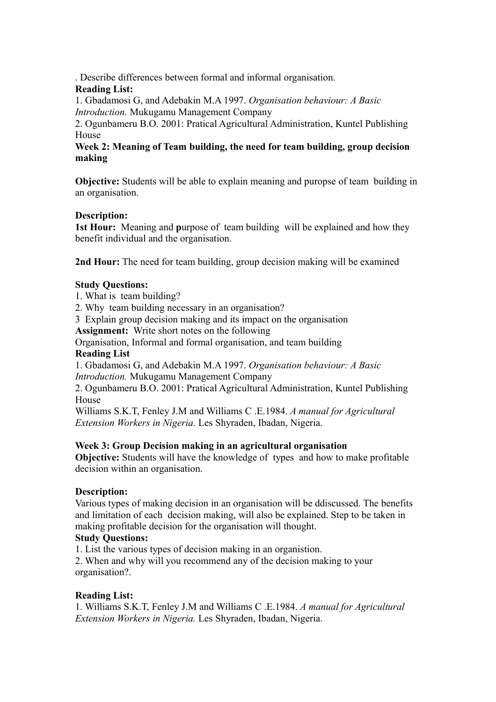. Describe differences between formal and informal organisation.

# **Reading List:**

1. Gbadamosi G, and Adebakin M.A 1997. *Organisation behaviour: A Basic Introduction.* Mukugamu Management Company

2. Ogunbameru B.O. 2001: Pratical Agricultural Administration, Kuntel Publishing House

# **Week 2: Meaning of Team building, the need for team building, group decision making**

**Objective:** Students will be able to explain meaning and puropse of team building in an organisation.

# **Description:**

**1st Hour:** Meaning and **p**urpose of team building will be explained and how they benefit individual and the organisation.

**2nd Hour:** The need for team building, group decision making will be examined

# **Study Questions:**

- 1. What is team building?
- 2. Why team building necessary in an organisation?

3 Explain group decision making and its impact on the organisation

**Assignment:** Write short notes on the following

Organisation, Informal and formal organisation, and team building

# **Reading List**

1. Gbadamosi G, and Adebakin M.A 1997. *Organisation behaviour: A Basic Introduction.* Mukugamu Management Company

2. Ogunbameru B.O. 2001: Pratical Agricultural Administration, Kuntel Publishing House

Williams S.K.T, Fenley J.M and Williams C .E.1984. *A manual for Agricultural Extension Workers in Nigeria.* Les Shyraden, Ibadan, Nigeria.

# **Week 3: Group Decision making in an agricultural organisation**

**Objective:** Students will have the knowledge of types and how to make profitable decision within an organisation.

# **Description:**

Various types of making decision in an organisation will be ddiscussed. The benefits and limitation of each decision making, will also be explained. Step to be taken in making profitable decision for the organisation will thought.

# **Study Questions:**

1. List the various types of decision making in an organistion.

2. When and why will you recommend any of the decision making to your organisation?.

# **Reading List:**

1. Williams S.K.T, Fenley J.M and Williams C .E.1984. *A manual for Agricultural Extension Workers in Nigeria.* Les Shyraden, Ibadan, Nigeria.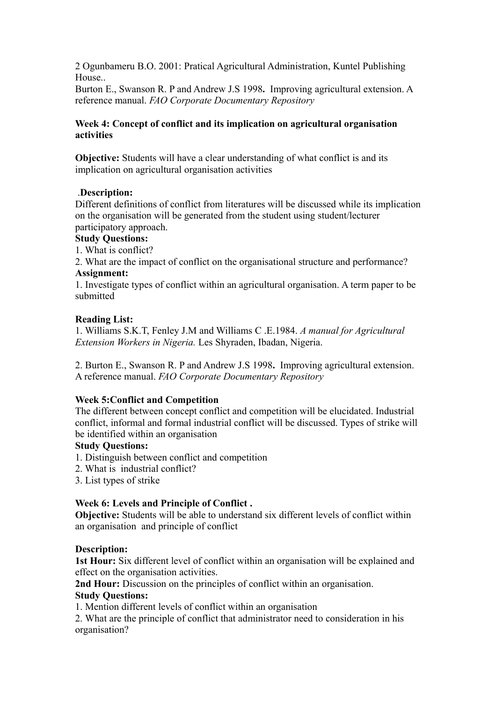2 Ogunbameru B.O. 2001: Pratical Agricultural Administration, Kuntel Publishing House..

Burton E., Swanson R. P and Andrew J.S 1998**.** Improving agricultural extension. A reference manual. *FAO Corporate Documentary Repository* 

## **Week 4: Concept of conflict and its implication on agricultural organisation activities**

**Objective:** Students will have a clear understanding of what conflict is and its implication on agricultural organisation activities

# .**Description:**

Different definitions of conflict from literatures will be discussed while its implication on the organisation will be generated from the student using student/lecturer participatory approach.

# **Study Questions:**

1. What is conflict?

2. What are the impact of conflict on the organisational structure and performance? **Assignment:**

1. Investigate types of conflict within an agricultural organisation. A term paper to be submitted

# **Reading List:**

1. Williams S.K.T, Fenley J.M and Williams C .E.1984. *A manual for Agricultural Extension Workers in Nigeria.* Les Shyraden, Ibadan, Nigeria.

2. Burton E., Swanson R. P and Andrew J.S 1998**.** Improving agricultural extension. A reference manual. *FAO Corporate Documentary Repository* 

# **Week 5:Conflict and Competition**

The different between concept conflict and competition will be elucidated. Industrial conflict, informal and formal industrial conflict will be discussed. Types of strike will be identified within an organisation

# **Study Questions:**

- 1. Distinguish between conflict and competition
- 2. What is industrial conflict?
- 3. List types of strike

# **Week 6: Levels and Principle of Conflict .**

**Objective:** Students will be able to understand six different levels of conflict within an organisation and principle of conflict

# **Description:**

**1st Hour:** Six different level of conflict within an organisation will be explained and effect on the organisation activities.

**2nd Hour:** Discussion on the principles of conflict within an organisation.

# **Study Questions:**

1. Mention different levels of conflict within an organisation

2. What are the principle of conflict that administrator need to consideration in his organisation?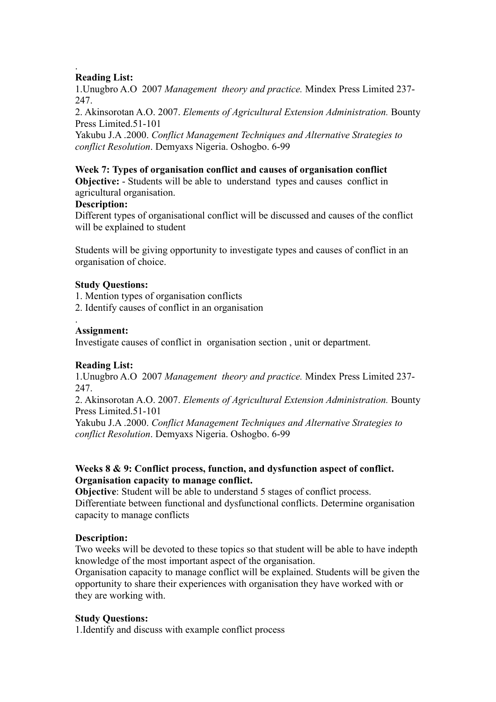#### . **Reading List:**

1.Unugbro A.O 2007 *Management theory and practice.* Mindex Press Limited 237- 247.

2. Akinsorotan A.O. 2007. *Elements of Agricultural Extension Administration.* Bounty Press Limited.51-101

Yakubu J.A .2000. *Conflict Management Techniques and Alternative Strategies to conflict Resolution*. Demyaxs Nigeria. Oshogbo. 6-99

#### **Week 7: Types of organisation conflict and causes of organisation conflict**

**Objective:** - Students will be able to understand types and causes conflict in agricultural organisation.

#### **Description:**

Different types of organisational conflict will be discussed and causes of the conflict will be explained to student

Students will be giving opportunity to investigate types and causes of conflict in an organisation of choice.

#### **Study Questions:**

1. Mention types of organisation conflicts

2. Identify causes of conflict in an organisation

#### . **Assignment:**

Investigate causes of conflict in organisation section , unit or department.

# **Reading List:**

1.Unugbro A.O 2007 *Management theory and practice.* Mindex Press Limited 237- 247.

2. Akinsorotan A.O. 2007. *Elements of Agricultural Extension Administration.* Bounty Press Limited.51-101

Yakubu J.A .2000. *Conflict Management Techniques and Alternative Strategies to conflict Resolution*. Demyaxs Nigeria. Oshogbo. 6-99

# **Weeks 8 & 9: Conflict process, function, and dysfunction aspect of conflict. Organisation capacity to manage conflict.**

**Objective**: Student will be able to understand 5 stages of conflict process.

Differentiate between functional and dysfunctional conflicts. Determine organisation capacity to manage conflicts

# **Description:**

Two weeks will be devoted to these topics so that student will be able to have indepth knowledge of the most important aspect of the organisation.

Organisation capacity to manage conflict will be explained. Students will be given the opportunity to share their experiences with organisation they have worked with or they are working with.

#### **Study Questions:**

1.Identify and discuss with example conflict process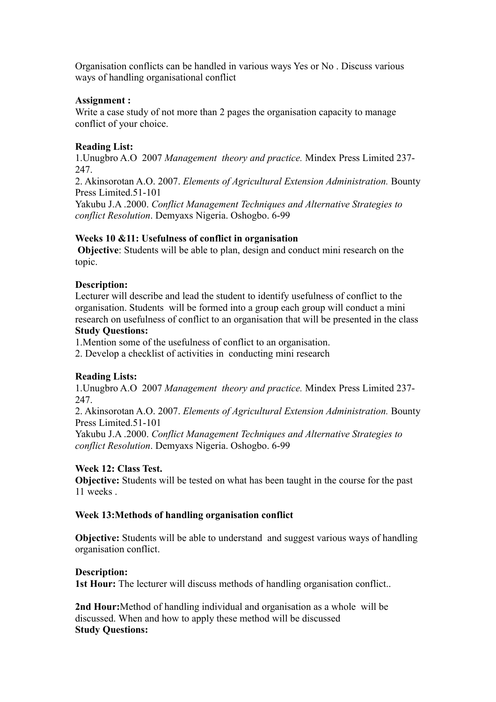Organisation conflicts can be handled in various ways Yes or No . Discuss various ways of handling organisational conflict

#### **Assignment :**

Write a case study of not more than 2 pages the organisation capacity to manage conflict of your choice.

## **Reading List:**

1.Unugbro A.O 2007 *Management theory and practice.* Mindex Press Limited 237- 247.

2. Akinsorotan A.O. 2007. *Elements of Agricultural Extension Administration.* Bounty Press Limited.51-101

Yakubu J.A .2000. *Conflict Management Techniques and Alternative Strategies to conflict Resolution*. Demyaxs Nigeria. Oshogbo. 6-99

#### **Weeks 10 &11: Usefulness of conflict in organisation**

 **Objective**: Students will be able to plan, design and conduct mini research on the topic.

#### **Description:**

Lecturer will describe and lead the student to identify usefulness of conflict to the organisation. Students will be formed into a group each group will conduct a mini research on usefulness of conflict to an organisation that will be presented in the class **Study Questions:**

1.Mention some of the usefulness of conflict to an organisation.

2. Develop a checklist of activities in conducting mini research

# **Reading Lists:**

1.Unugbro A.O 2007 *Management theory and practice.* Mindex Press Limited 237- 247.

2. Akinsorotan A.O. 2007. *Elements of Agricultural Extension Administration.* Bounty Press Limited.51-101

Yakubu J.A .2000. *Conflict Management Techniques and Alternative Strategies to conflict Resolution*. Demyaxs Nigeria. Oshogbo. 6-99

#### **Week 12: Class Test.**

**Objective:** Students will be tested on what has been taught in the course for the past 11 weeks .

#### **Week 13:Methods of handling organisation conflict**

**Objective:** Students will be able to understand and suggest various ways of handling organisation conflict.

#### **Description:**

**1st Hour:** The lecturer will discuss methods of handling organisation conflict...

**2nd Hour:**Method of handling individual and organisation as a wholewill be discussed. When and how to apply these method will be discussed **Study Questions:**